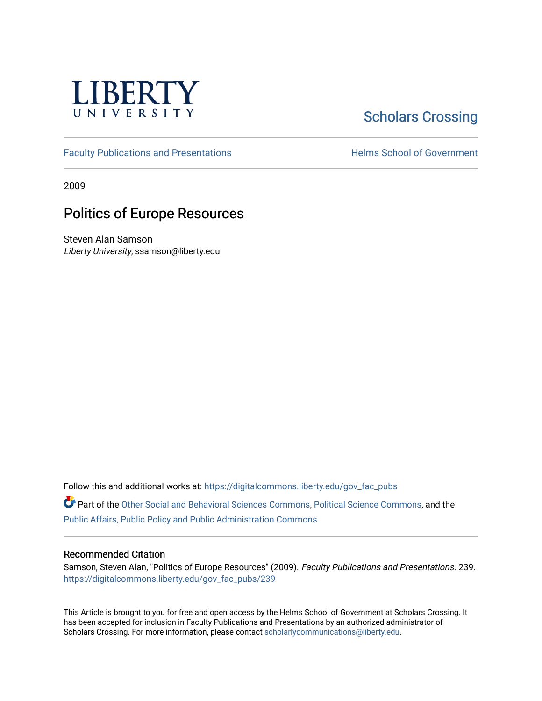

# **Scholars Crossing**

[Faculty Publications and Presentations](https://digitalcommons.liberty.edu/gov_fac_pubs) **Exercise School of Government** 

2009

## Politics of Europe Resources

Steven Alan Samson Liberty University, ssamson@liberty.edu

Follow this and additional works at: [https://digitalcommons.liberty.edu/gov\\_fac\\_pubs](https://digitalcommons.liberty.edu/gov_fac_pubs?utm_source=digitalcommons.liberty.edu%2Fgov_fac_pubs%2F239&utm_medium=PDF&utm_campaign=PDFCoverPages)

Part of the [Other Social and Behavioral Sciences Commons](http://network.bepress.com/hgg/discipline/437?utm_source=digitalcommons.liberty.edu%2Fgov_fac_pubs%2F239&utm_medium=PDF&utm_campaign=PDFCoverPages), [Political Science Commons](http://network.bepress.com/hgg/discipline/386?utm_source=digitalcommons.liberty.edu%2Fgov_fac_pubs%2F239&utm_medium=PDF&utm_campaign=PDFCoverPages), and the [Public Affairs, Public Policy and Public Administration Commons](http://network.bepress.com/hgg/discipline/393?utm_source=digitalcommons.liberty.edu%2Fgov_fac_pubs%2F239&utm_medium=PDF&utm_campaign=PDFCoverPages)

#### Recommended Citation

Samson, Steven Alan, "Politics of Europe Resources" (2009). Faculty Publications and Presentations. 239. [https://digitalcommons.liberty.edu/gov\\_fac\\_pubs/239](https://digitalcommons.liberty.edu/gov_fac_pubs/239?utm_source=digitalcommons.liberty.edu%2Fgov_fac_pubs%2F239&utm_medium=PDF&utm_campaign=PDFCoverPages)

This Article is brought to you for free and open access by the Helms School of Government at Scholars Crossing. It has been accepted for inclusion in Faculty Publications and Presentations by an authorized administrator of Scholars Crossing. For more information, please contact [scholarlycommunications@liberty.edu.](mailto:scholarlycommunications@liberty.edu)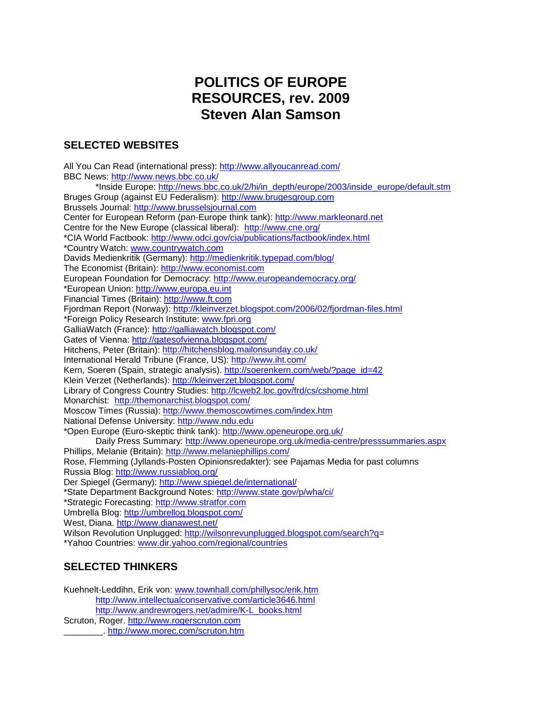## **POLITICS OF EUROPE RESOURCES, rev. 2009 Steven Alan Samson**

### **SELECTED WEBSITES**

All You Can Read (international press):<http://www.allyoucanread.com/> BBC News:<http://www.news.bbc.co.uk/> \*Inside Europe: [http://news.bbc.co.uk/2/hi/in\\_depth/europe/2003/inside\\_europe/default.stm](http://news.bbc.co.uk/2/hi/in_depth/europe/2003/inside_europe/default.stm) Bruges Group (against EU Federalism): [http://www.brugesgroup.com](http://www.brugesgroup.com/) Brussels Journal: http://www.brusselsjournal.com Center for European Reform (pan-Europe think tank): [http://www.markleonard.net](http://www.markleonard.net/) Centre for the New Europe (classical liberal): <http://www.cne.org/> \*CIA World Factbook:<http://www.odci.gov/cia/publications/factbook/index.html> \*Country Watch: [www.countrywatch.com](http://www.countrywatch.com/) Davids Medienkritik (Germany):<http://medienkritik.typepad.com/blog/> The Economist (Britain): [http://www.economist.com](http://www.economist.com/) European Foundation for Democracy:<http://www.europeandemocracy.org/> \*European Union: [http://www.europa.eu.int](http://www.europa.eu.int/) Financial Times (Britain): [http://www.ft.com](http://www.ft.com/) Fjordman Report (Norway):<http://kleinverzet.blogspot.com/2006/02/fjordman-files.html> \*Foreign Policy Research Institute: [www.fpri.org](http://www.fpri.org/) GalliaWatch (France):<http://galliawatch.blogspot.com/> Gates of Vienna:<http://gatesofvienna.blogspot.com/> Hitchens, Peter (Britain):<http://hitchensblog.mailonsunday.co.uk/> International Herald Tribune (France, US):<http://www.iht.com/> Kern, Soeren (Spain, strategic analysis). [http://soerenkern.com/web/?page\\_id=42](http://soerenkern.com/web/?page_id=42) Klein Verzet (Netherlands):<http://kleinverzet.blogspot.com/> Library of Congress Country Studies:<http://lcweb2.loc.gov/frd/cs/cshome.html> Monarchist: <http://themonarchist.blogspot.com/> Moscow Times (Russia):<http://www.themoscowtimes.com/index.htm> National Defense University: [http://www.ndu.edu](http://www.ndu.edu/) \*Open Europe (Euro-skeptic think tank):<http://www.openeurope.org.uk/> Daily Press Summary:<http://www.openeurope.org.uk/media-centre/presssummaries.aspx> Phillips, Melanie (Britain):<http://www.melaniephillips.com/> Rose, Flemming (Jyllands-Posten Opinionsredakter): see Pajamas Media for past columns Russia Blog:<http://www.russiablog.org/> Der Spiegel (Germany):<http://www.spiegel.de/international/> \*State Department Background Notes:<http://www.state.gov/p/wha/ci/> \*Strategic Forecasting: [http://www.stratfor.com](http://www.stratfor.com/) Umbrella Blog:<http://umbrellog.blogspot.com/> West, Diana.<http://www.dianawest.net/> Wilson Revolution Unplugged: [http://wilsonrevunplugged.blogspot.com/search?q=](http://wilsonrevunplugged.blogspot.com/search?q) \*Yahoo Countries: [www.dir.yahoo.com/regional/countries](http://www.yahoo.com/regional/countries)

### **SELECTED THINKERS**

Kuehnelt-Leddihn, Erik von: [www.townhall.com/phillysoc/erik.htm](http://www.townhall.com/phillysoc/erik.htm) <http://www.intellectualconservative.com/article3646.html> [http://www.andrewrogers.net/admire/K-L\\_books.html](http://www.andrewrogers.net/admire/K-L_books.html) Scruton, Roger. [http://www.rogerscruton.com](http://www.rogerscruton.com/) \_\_\_\_\_\_\_\_.<http://www.morec.com/scruton.htm>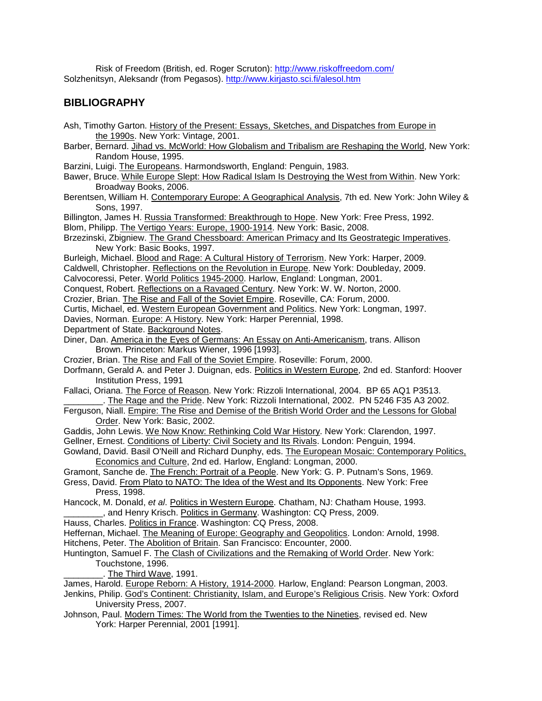Risk of Freedom (British, ed. Roger Scruton):<http://www.riskoffreedom.com/> Solzhenitsyn, Aleksandr (from Pegasos).<http://www.kirjasto.sci.fi/alesol.htm>

### **BIBLIOGRAPHY**

- Ash, Timothy Garton. History of the Present: Essays, Sketches, and Dispatches from Europe in the 1990s. New York: Vintage, 2001.
- Barber, Bernard. *Jihad vs. McWorld: How Globalism and Tribalism are Reshaping the World*, New York: Random House, 1995.
- Barzini, Luigi. The Europeans. Harmondsworth, England: Penguin, 1983.
- Bawer, Bruce. While Europe Slept: How Radical Islam Is Destroying the West from Within. New York: Broadway Books, 2006.
- Berentsen, William H. Contemporary Europe: A Geographical Analysis, 7th ed. New York: John Wiley & Sons, 1997.

Billington, James H. Russia Transformed: Breakthrough to Hope. New York: Free Press, 1992.

Blom, Philipp. The Vertigo Years: Europe, 1900-1914. New York: Basic, 2008.

- Brzezinski, Zbigniew. The Grand Chessboard: American Primacy and Its Geostrategic Imperatives. New York: Basic Books, 1997.
- Burleigh, Michael. Blood and Rage: A Cultural History of Terrorism. New York: Harper, 2009.
- Caldwell, Christopher. Reflections on the Revolution in Europe. New York: Doubleday, 2009.

Calvocoressi, Peter. World Politics 1945-2000. Harlow, England: Longman, 2001.

Conquest, Robert. Reflections on a Ravaged Century. New York: W. W. Norton, 2000.

Crozier, Brian. The Rise and Fall of the Soviet Empire. Roseville, CA: Forum, 2000.

Curtis, Michael, ed. Western European Government and Politics. New York: Longman, 1997.

Davies, Norman. Europe: A History. New York: Harper Perennial, 1998.

Department of State. Background Notes.

Diner, Dan. America in the Eyes of Germans: An Essay on Anti-Americanism, trans. Allison Brown. Princeton: Markus Wiener, 1996 [1993].

Crozier, Brian. The Rise and Fall of the Soviet Empire. Roseville: Forum, 2000.

Dorfmann, Gerald A. and Peter J. Duignan, eds. Politics in Western Europe, 2nd ed. Stanford: Hoover Institution Press, 1991

Fallaci, Oriana. The Force of Reason. New York: Rizzoli International, 2004. BP 65 AQ1 P3513. \_\_\_\_\_\_\_\_. The Rage and the Pride. New York: Rizzoli International, 2002. PN 5246 F35 A3 2002.

Ferguson, Niall. Empire: The Rise and Demise of the British World Order and the Lessons for Global Order. New York: Basic, 2002.

Gaddis, John Lewis. We Now Know: Rethinking Cold War History. New York: Clarendon, 1997. Gellner, Ernest. Conditions of Liberty: Civil Society and Its Rivals. London: Penguin, 1994.

Gowland, David. Basil O'Neill and Richard Dunphy, eds. The European Mosaic: Contemporary Politics, Economics and Culture, 2nd ed. Harlow, England: Longman, 2000.

Gramont, Sanche de. The French: Portrait of a People. New York: G. P. Putnam's Sons, 1969.

Gress, David. From Plato to NATO: The Idea of the West and Its Opponents. New York: Free Press, 1998.

Hancock, M. Donald, *et al*. Politics in Western Europe. Chatham, NJ: Chatham House, 1993. \_\_\_\_\_\_\_\_, and Henry Krisch. Politics in Germany. Washington: CQ Press, 2009.

Hauss, Charles. Politics in France. Washington: CQ Press, 2008.

Heffernan, Michael. The Meaning of Europe: Geography and Geopolitics. London: Arnold, 1998. Hitchens, Peter. The Abolition of Britain. San Francisco: Encounter, 2000.

#### Huntington, Samuel F. The Clash of Civilizations and the Remaking of World Order. New York: Touchstone, 1996.

The Third Wave, 1991.

James, Harold. Europe Reborn: A History, 1914-2000. Harlow, England: Pearson Longman, 2003.

Jenkins, Philip. God's Continent: Christianity, Islam, and Europe's Religious Crisis. New York: Oxford University Press, 2007.

Johnson, Paul. Modern Times: The World from the Twenties to the Nineties, revised ed. New York: Harper Perennial, 2001 [1991].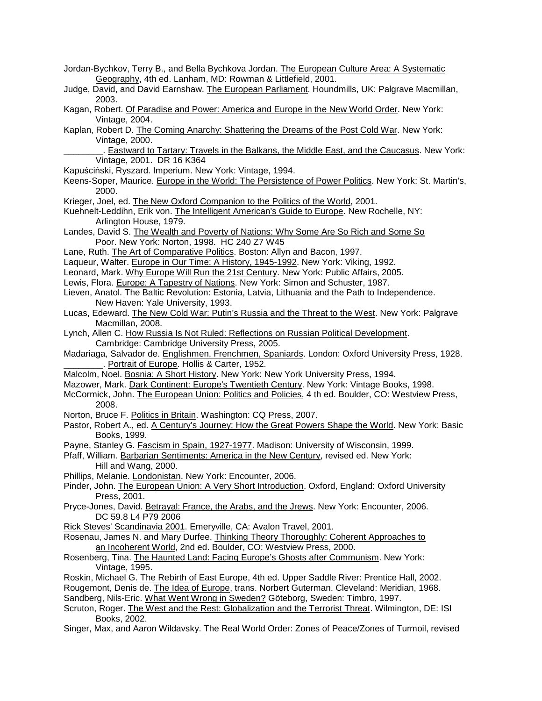Jordan-Bychkov, Terry B., and Bella Bychkova Jordan. The European Culture Area: A Systematic Geography, 4th ed. Lanham, MD: Rowman & Littlefield, 2001. Judge, David, and David Earnshaw. The European Parliament. Houndmills, UK: Palgrave Macmillan, 2003. Kagan, Robert. Of Paradise and Power: America and Europe in the New World Order. New York: Vintage, 2004. Kaplan, Robert D. The Coming Anarchy: Shattering the Dreams of the Post Cold War. New York: Vintage, 2000. .. Eastward to Tartary: Travels in the Balkans, the Middle East, and the Caucasus. New York: Vintage, 2001. DR 16 K364 Kapuściński, Ryszard. Imperium. New York: Vintage, 1994. Keens-Soper, Maurice. Europe in the World: The Persistence of Power Politics. New York: St. Martin's, 2000. Krieger, Joel, ed. The New Oxford Companion to the Politics of the World, 2001. Kuehnelt-Leddihn, Erik von. The Intelligent American's Guide to Europe. New Rochelle, NY: Arlington House, 1979. Landes, David S. The Wealth and Poverty of Nations: Why Some Are So Rich and Some So Poor. New York: Norton, 1998. HC 240 Z7 W45 Lane, Ruth. The Art of Comparative Politics. Boston: Allyn and Bacon, 1997. Laqueur, Walter. Europe in Our Time: A History, 1945-1992. New York: Viking, 1992. Leonard, Mark. Why Europe Will Run the 21st Century. New York: Public Affairs, 2005. Lewis, Flora. Europe: A Tapestry of Nations. New York: Simon and Schuster, 1987. Lieven, Anatol. The Baltic Revolution: Estonia, Latvia, Lithuania and the Path to Independence. New Haven: Yale University, 1993. Lucas, Edeward. The New Cold War: Putin's Russia and the Threat to the West. New York: Palgrave Macmillan, 2008. Lynch, Allen C. How Russia Is Not Ruled: Reflections on Russian Political Development. Cambridge: Cambridge University Press, 2005. Madariaga, Salvador de. Englishmen, Frenchmen, Spaniards. London: Oxford University Press, 1928. Portrait of Europe. Hollis & Carter, 1952. Malcolm, Noel. Bosnia: A Short History. New York: New York University Press, 1994. Mazower, Mark. Dark Continent: Europe's Twentieth Century. New York: Vintage Books, 1998. McCormick, John. The European Union: Politics and Policies, 4 th ed. Boulder, CO: Westview Press, 2008. Norton, Bruce F. Politics in Britain. Washington: CQ Press, 2007. Pastor, Robert A., ed. A Century's Journey: How the Great Powers Shape the World. New York: Basic Books, 1999. Payne, Stanley G. Fascism in Spain, 1927-1977. Madison: University of Wisconsin, 1999. Pfaff, William. Barbarian Sentiments: America in the New Century, revised ed. New York: Hill and Wang, 2000. Phillips, Melanie. Londonistan. New York: Encounter, 2006. Pinder, John. The European Union: A Very Short Introduction. Oxford, England: Oxford University Press, 2001. Pryce-Jones, David. Betrayal: France, the Arabs, and the Jrews. New York: Encounter, 2006. DC 59.8 L4 P79 2006 Rick Steves' Scandinavia 2001. Emeryville, CA: Avalon Travel, 2001. Rosenau, James N. and Mary Durfee. Thinking Theory Thoroughly: Coherent Approaches to an Incoherent World, 2nd ed. Boulder, CO: Westview Press, 2000. Rosenberg, Tina. The Haunted Land: Facing Europe's Ghosts after Communism. New York: Vintage, 1995. Roskin, Michael G. The Rebirth of East Europe, 4th ed. Upper Saddle River: Prentice Hall, 2002. Rougemont, Denis de. The Idea of Europe, trans. Norbert Guterman. Cleveland: Meridian, 1968. Sandberg, Nils-Eric. What Went Wrong in Sweden? Göteborg, Sweden: Timbro, 1997. Scruton, Roger. The West and the Rest: Globalization and the Terrorist Threat. Wilmington, DE: ISI Books, 2002. Singer, Max, and Aaron Wildavsky. The Real World Order: Zones of Peace/Zones of Turmoil, revised